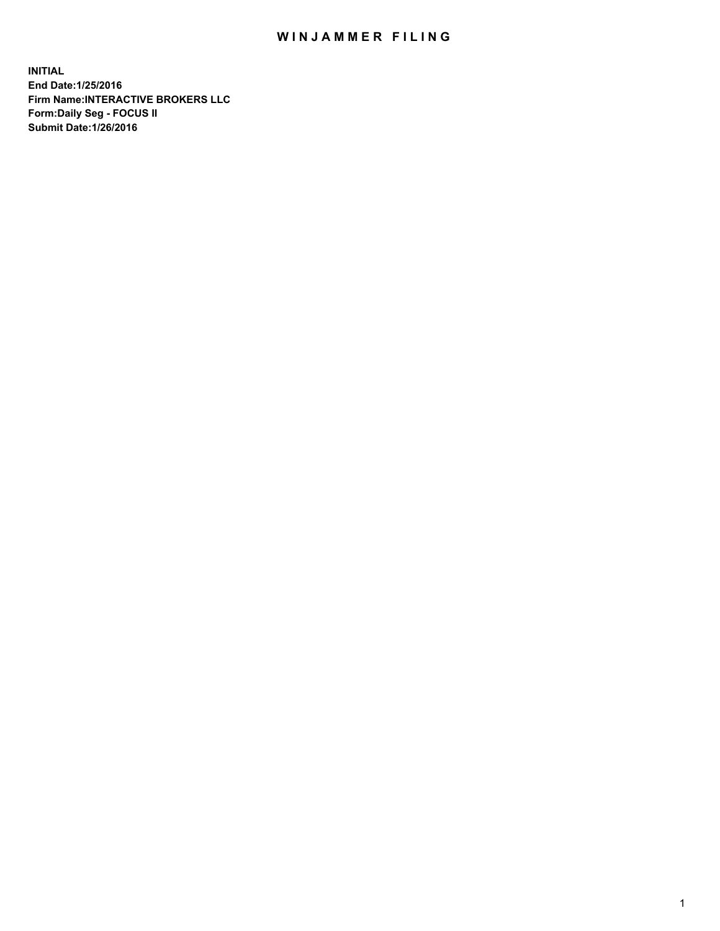## WIN JAMMER FILING

**INITIAL End Date:1/25/2016 Firm Name:INTERACTIVE BROKERS LLC Form:Daily Seg - FOCUS II Submit Date:1/26/2016**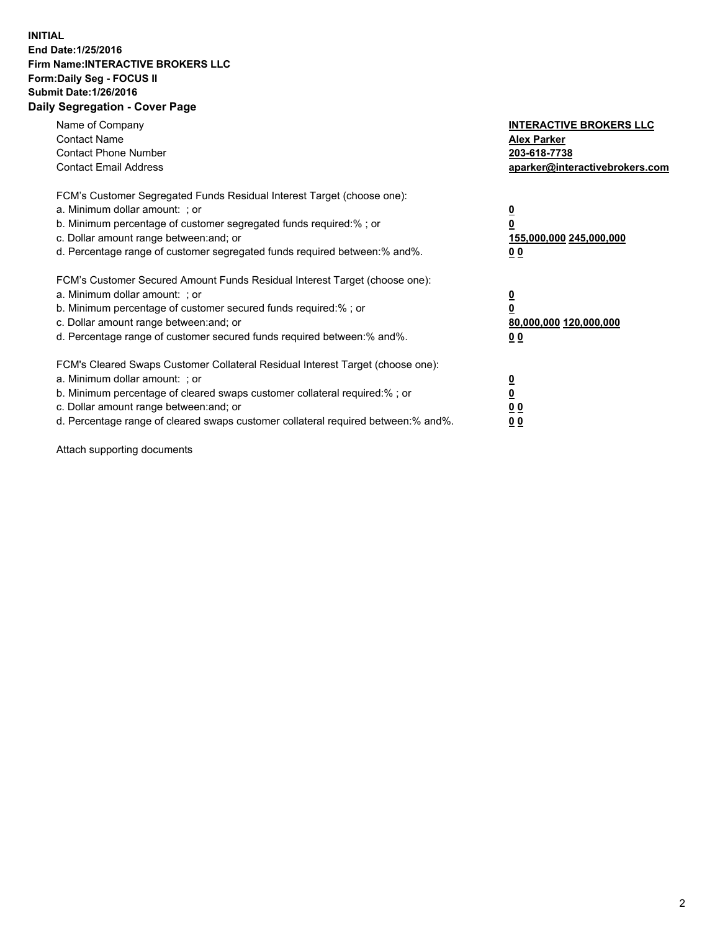## **INITIAL End Date:1/25/2016 Firm Name:INTERACTIVE BROKERS LLC Form:Daily Seg - FOCUS II Submit Date:1/26/2016 Daily Segregation - Cover Page**

| Name of Company<br><b>Contact Name</b><br><b>Contact Phone Number</b><br><b>Contact Email Address</b>                                                                                                                                                                                                                         | <b>INTERACTIVE BROKERS LLC</b><br><b>Alex Parker</b><br>203-618-7738<br>aparker@interactivebrokers.com |
|-------------------------------------------------------------------------------------------------------------------------------------------------------------------------------------------------------------------------------------------------------------------------------------------------------------------------------|--------------------------------------------------------------------------------------------------------|
| FCM's Customer Segregated Funds Residual Interest Target (choose one):<br>a. Minimum dollar amount: ; or<br>b. Minimum percentage of customer segregated funds required:% ; or<br>c. Dollar amount range between: and; or<br>d. Percentage range of customer segregated funds required between:% and%.                        | <u>0</u><br>155,000,000 245,000,000<br>0 <sub>0</sub>                                                  |
| FCM's Customer Secured Amount Funds Residual Interest Target (choose one):<br>a. Minimum dollar amount: ; or<br>b. Minimum percentage of customer secured funds required:%; or<br>c. Dollar amount range between: and; or<br>d. Percentage range of customer secured funds required between: % and %.                         | <u>0</u><br>80,000,000 120,000,000<br><u>00</u>                                                        |
| FCM's Cleared Swaps Customer Collateral Residual Interest Target (choose one):<br>a. Minimum dollar amount: ; or<br>b. Minimum percentage of cleared swaps customer collateral required:%; or<br>c. Dollar amount range between: and; or<br>d. Percentage range of cleared swaps customer collateral required between:% and%. | <u>0</u><br>0 <sub>0</sub><br>0 <sub>0</sub>                                                           |

Attach supporting documents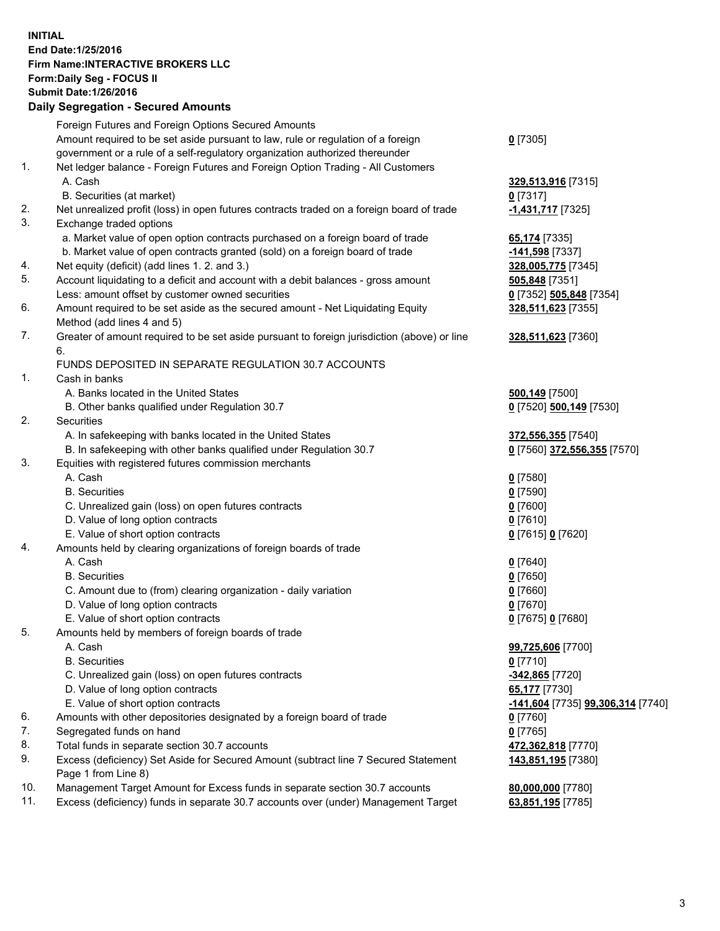## **INITIAL End Date:1/25/2016 Firm Name:INTERACTIVE BROKERS LLC Form:Daily Seg - FOCUS II Submit Date:1/26/2016 Daily Segregation - Secured Amounts**

|     | Daily Ocglegation - Occarea Anioants                                                                       |                                   |
|-----|------------------------------------------------------------------------------------------------------------|-----------------------------------|
|     | Foreign Futures and Foreign Options Secured Amounts                                                        |                                   |
|     | Amount required to be set aside pursuant to law, rule or regulation of a foreign                           | $0$ [7305]                        |
|     | government or a rule of a self-regulatory organization authorized thereunder                               |                                   |
| 1.  | Net ledger balance - Foreign Futures and Foreign Option Trading - All Customers                            |                                   |
|     | A. Cash                                                                                                    | 329,513,916 [7315]                |
|     | B. Securities (at market)                                                                                  | $0$ [7317]                        |
| 2.  | Net unrealized profit (loss) in open futures contracts traded on a foreign board of trade                  | -1,431,717 [7325]                 |
| 3.  | Exchange traded options                                                                                    |                                   |
|     | a. Market value of open option contracts purchased on a foreign board of trade                             | 65,174 [7335]                     |
|     | b. Market value of open contracts granted (sold) on a foreign board of trade                               | -141,598 [7337]                   |
| 4.  | Net equity (deficit) (add lines 1.2. and 3.)                                                               | 328,005,775 [7345]                |
| 5.  | Account liquidating to a deficit and account with a debit balances - gross amount                          | 505,848 [7351]                    |
|     | Less: amount offset by customer owned securities                                                           | 0 [7352] 505,848 [7354]           |
| 6.  | Amount required to be set aside as the secured amount - Net Liquidating Equity                             | 328,511,623 [7355]                |
|     | Method (add lines 4 and 5)                                                                                 |                                   |
| 7.  | Greater of amount required to be set aside pursuant to foreign jurisdiction (above) or line                | 328,511,623 [7360]                |
|     | 6.                                                                                                         |                                   |
|     | FUNDS DEPOSITED IN SEPARATE REGULATION 30.7 ACCOUNTS                                                       |                                   |
| 1.  | Cash in banks                                                                                              |                                   |
|     | A. Banks located in the United States                                                                      | 500,149 [7500]                    |
|     | B. Other banks qualified under Regulation 30.7                                                             | 0 [7520] 500,149 [7530]           |
| 2.  | Securities                                                                                                 |                                   |
|     | A. In safekeeping with banks located in the United States                                                  | 372,556,355 [7540]                |
|     | B. In safekeeping with other banks qualified under Regulation 30.7                                         | 0 [7560] 372,556,355 [7570]       |
| 3.  | Equities with registered futures commission merchants                                                      |                                   |
|     | A. Cash                                                                                                    | $0$ [7580]                        |
|     | <b>B.</b> Securities                                                                                       | $0$ [7590]                        |
|     | C. Unrealized gain (loss) on open futures contracts                                                        | $0$ [7600]                        |
|     | D. Value of long option contracts                                                                          | $0$ [7610]                        |
|     | E. Value of short option contracts                                                                         | 0 [7615] 0 [7620]                 |
| 4.  | Amounts held by clearing organizations of foreign boards of trade                                          |                                   |
|     | A. Cash                                                                                                    | $0$ [7640]                        |
|     | <b>B.</b> Securities                                                                                       | $0$ [7650]                        |
|     | C. Amount due to (from) clearing organization - daily variation                                            | $0$ [7660]                        |
|     | D. Value of long option contracts                                                                          | $0$ [7670]                        |
|     | E. Value of short option contracts                                                                         | 0 [7675] 0 [7680]                 |
| 5.  | Amounts held by members of foreign boards of trade                                                         |                                   |
|     | A. Cash                                                                                                    | 99,725,606 [7700]                 |
|     | <b>B.</b> Securities                                                                                       | $0$ [7710]                        |
|     | C. Unrealized gain (loss) on open futures contracts                                                        | -342,865 [7720]                   |
|     | D. Value of long option contracts                                                                          | 65,177 [7730]                     |
|     | E. Value of short option contracts                                                                         | -141,604 [7735] 99,306,314 [7740] |
| 6.  | Amounts with other depositories designated by a foreign board of trade                                     | 0 [7760]                          |
| 7.  | Segregated funds on hand                                                                                   | $0$ [7765]                        |
| 8.  | Total funds in separate section 30.7 accounts                                                              | 472,362,818 [7770]                |
| 9.  | Excess (deficiency) Set Aside for Secured Amount (subtract line 7 Secured Statement<br>Page 1 from Line 8) | 143,851,195 [7380]                |
| 10. | Management Target Amount for Excess funds in separate section 30.7 accounts                                | 80,000,000 [7780]                 |
| 11. | Excess (deficiency) funds in separate 30.7 accounts over (under) Management Target                         | 63,851,195 [7785]                 |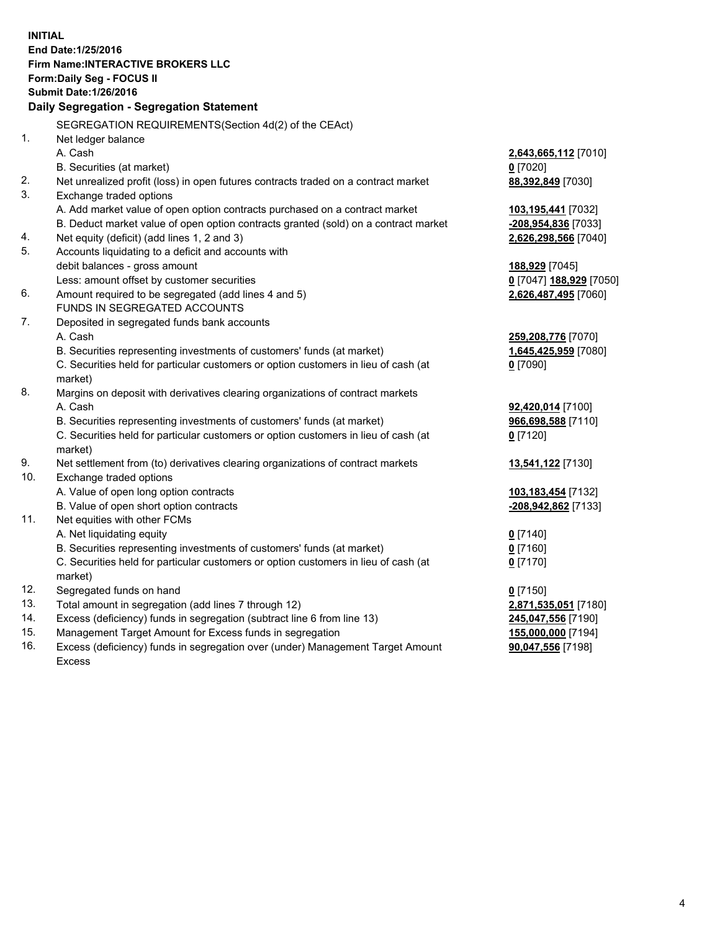**INITIAL End Date:1/25/2016 Firm Name:INTERACTIVE BROKERS LLC Form:Daily Seg - FOCUS II Submit Date:1/26/2016 Daily Segregation - Segregation Statement** SEGREGATION REQUIREMENTS(Section 4d(2) of the CEAct) 1. Net ledger balance A. Cash **2,643,665,112** [7010] B. Securities (at market) **0** [7020] 2. Net unrealized profit (loss) in open futures contracts traded on a contract market **88,392,849** [7030] 3. Exchange traded options A. Add market value of open option contracts purchased on a contract market **103,195,441** [7032] B. Deduct market value of open option contracts granted (sold) on a contract market **-208,954,836** [7033] 4. Net equity (deficit) (add lines 1, 2 and 3) **2,626,298,566** [7040] 5. Accounts liquidating to a deficit and accounts with debit balances - gross amount **188,929** [7045] Less: amount offset by customer securities **0** [7047] **188,929** [7050] 6. Amount required to be segregated (add lines 4 and 5) **2,626,487,495** [7060] FUNDS IN SEGREGATED ACCOUNTS 7. Deposited in segregated funds bank accounts A. Cash **259,208,776** [7070] B. Securities representing investments of customers' funds (at market) **1,645,425,959** [7080] C. Securities held for particular customers or option customers in lieu of cash (at market) **0** [7090] 8. Margins on deposit with derivatives clearing organizations of contract markets A. Cash **92,420,014** [7100] B. Securities representing investments of customers' funds (at market) **966,698,588** [7110] C. Securities held for particular customers or option customers in lieu of cash (at market) **0** [7120] 9. Net settlement from (to) derivatives clearing organizations of contract markets **13,541,122** [7130] 10. Exchange traded options A. Value of open long option contracts **103,183,454** [7132] B. Value of open short option contracts **-208,942,862** [7133] 11. Net equities with other FCMs A. Net liquidating equity **0** [7140] B. Securities representing investments of customers' funds (at market) **0** [7160] C. Securities held for particular customers or option customers in lieu of cash (at market) **0** [7170] 12. Segregated funds on hand **0** [7150] 13. Total amount in segregation (add lines 7 through 12) **2,871,535,051** [7180] 14. Excess (deficiency) funds in segregation (subtract line 6 from line 13) **245,047,556** [7190] 15. Management Target Amount for Excess funds in segregation **155,000,000** [7194] **90,047,556** [7198]

16. Excess (deficiency) funds in segregation over (under) Management Target Amount Excess